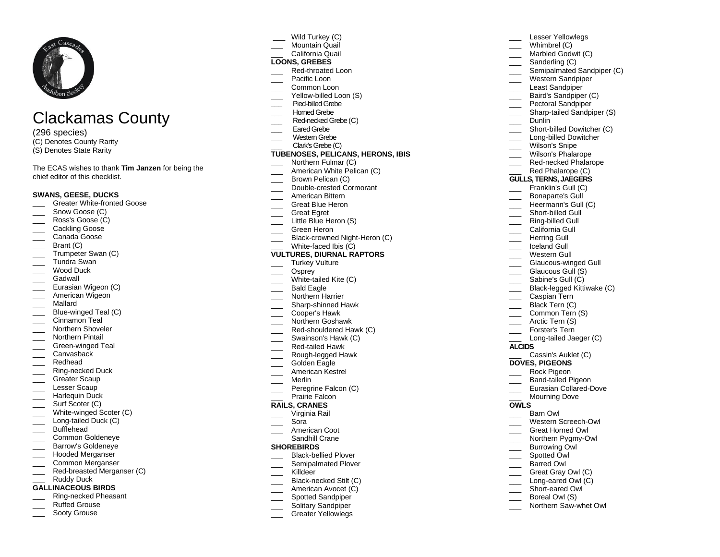

# Clackamas County

(296 species) (C) Denotes County Rarity

(S) Denotes State Rarity

The ECAS wishes to thank **Tim Janzen** for being the chief editor of this checklist.

### **SWANS, GEESE, DUCKS**

- \_\_\_ Greater White -fronted Goose
- Snow Goose (C)
- Ross's Goose (C)
- Cackling Goose
- Canada Goose
- \_\_\_ Brant (C)
- Trumpeter Swan (C)
- \_\_\_ Tundra Swan
- Wood Duck
- Gadwall
- Eurasian Wigeon (C)
- American Wigeon
- \_\_\_ Mallard
- \_\_\_ Blue -winged Teal (C)
- Cinnamon Teal
- Northern Shoveler
- Northern Pintail
- \_\_\_ Green -winged Teal
- Canvasback
- \_\_\_ Redhead
- \_\_\_ Ring -necked Duck
- \_\_\_\_ Greater Scaup
- Lesser Scaup
- Harlequin Duck
- \_\_\_ Surf Scoter (C)
- \_\_\_ White -winged Scoter (C)
- \_\_\_ Long -tailed Duck (C)
- \_\_\_ Bufflehead
- **Lackson** Controlleneye Barrow's Goldeneye
- \_\_\_ Hooded Merganser
- \_\_\_ Common Merganser
- \_\_\_ Red -breasted Merganser (C)
- Ruddy Duck
- **GALLINACEOUS BIRDS**
- \_\_\_ Ring -necked Pheasant
- Ruffed Grouse
- Sooty Grouse
- Wild Turkey (C)
- Mountain Quail
- \_\_\_ California Quail

# **LOONS, GREBES**

- \_\_\_ Red -throated Loon
- Pacific Loon
- \_\_\_ Common Loon
- \_\_\_ Yellow -billed Loon (S)
- **\_\_\_** Pied -billed Grebe Horned Grebe
- 
- \_\_\_ Red -necked Grebe (C)
- Eared Grebe
- \_\_\_ Western Grebe
- Clark's Grebe (C)

## **TUBENOSES, PELICANS, HERONS, IBIS**

- Northern Fulmar (C)
- American White Pelican (C)
- Brown Pelican (C)
- \_\_\_ Double -crested Cormorant
- \_\_\_ American Bittern
- Great Blue Heron
- \_\_\_ Great Egret
- Little Blue Heron (S)
- Green Heron
- \_\_\_ Black-crowned Night-Heron (C)

#### \_\_\_ White -faced Ibis (C) **VULTURES, DIURNAL RAPTORS**

- Turkey Vulture
- \_\_\_ Osprey
- \_\_\_ White -tailed Kite (C)
- Bald Eagle
- Northern Harrier
- \_\_\_ Sharp -shinned Hawk
- \_\_\_ Cooper's Hawk
- \_\_\_ Northern Goshawk
- \_\_\_ Red -shouldered Hawk (C)
- Swainson's Hawk (C)
- \_\_\_ Red -tailed Hawk
- \_\_\_ Rough -legged Hawk
- Golden Eagle
- American Kestrel
- \_\_\_ Merlin
- \_\_\_ Peregrine Falcon (C) Prairie Falcon

# **RAILS, CRANES**

- \_\_\_ Virginia Rail
- \_\_\_ Sora
- \_\_\_ American Coot
- Sandhill Crane

#### **SHOREBIRDS**

- \_\_\_ Black -bellied Plover
- Semipalmated Plover
- \_\_\_ Killdeer
- \_\_\_ Black -necked Stilt (C)
- American Avocet (C)
- Spotted Sandpiper
- Solitary Sandpiper
- Greater Yellowlegs

Lesser Yellowlegs Whimbrel (C)

\_\_\_ Sanderling (C)

Dunlin

\_\_\_ Short -billed Gull \_\_\_ Ring -billed Gull California Gull Herring Gull Iceland Gull Western Gull \_\_\_ Glaucous -winged Gull Glaucous Gull (S) Sabine's Gull (C) \_\_\_ Black -legged Kittiwake (C) Caspian Tern Black Tern (C) Common Tern (S)

\_\_\_\_ Arctic Tern (S) Forster's Tern \_\_\_ Long -tailed Jaeger (C)

**DOVES, PIGEONS** \_\_\_ Rock Pigeon \_\_\_ Ban d -tailed Pigeon \_\_\_ Eurasian Collared -Dove Mourning Dove

\_\_\_ Barn Owl \_\_\_ Western Screech -Owl \_\_\_ Great Horned Owl \_\_\_ Northern Pygmy-Owl Burrowing Owl Spotted Owl Barred Owl Great Gray Owl (C) \_\_\_ Long -eared Owl (C) \_\_\_ Short -eared Owl Boreal Owl (S) \_\_\_ Northern Saw -whet Owl

Cassin's Auklet (C)

**ALCIDS**

**OWLS**

Marbled Godwit (C)

\_\_\_ Short -billed Dowitcher (C) \_\_\_ Long -billed Dowitcher Wilson's Snipe Wilson's Phalarope \_\_\_ Red -necked Phalarope Red Phalarope (C) **GULLS, TERNS, JAEGERS** Franklin's Gull (C) Bonaparte's Gull Heermann's Gull (C)

\_\_\_ Semipalmated Sandpiper (C) Western Sandpiper Least Sandpiper Baird's Sandpiper (C) **Pectoral Sandpiper** \_\_\_ Sharp -tailed Sandpiper ( S)